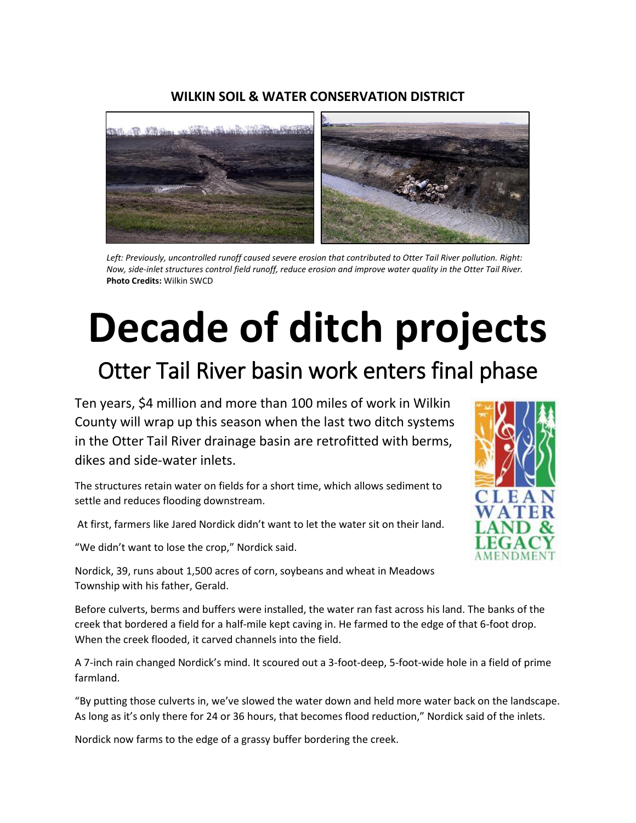#### **WILKIN SOIL & WATER CONSERVATION DISTRICT**



*Left: Previously, uncontrolled runoff caused severe erosion that contributed to Otter Tail River pollution. Right: Now, side-inlet structures control field runoff, reduce erosion and improve water quality in the Otter Tail River.*  **Photo Credits:** Wilkin SWCD

# **Decade of ditch projects**

### Otter Tail River basin work enters final phase

Ten years, \$4 million and more than 100 miles of work in Wilkin County will wrap up this season when the last two ditch systems in the Otter Tail River drainage basin are retrofitted with berms, dikes and side-water inlets.

The structures retain water on fields for a short time, which allows sediment to settle and reduces flooding downstream.

At first, farmers like Jared Nordick didn't want to let the water sit on their land.

"We didn't want to lose the crop," Nordick said.

Nordick, 39, runs about 1,500 acres of corn, soybeans and wheat in Meadows Township with his father, Gerald.

Before culverts, berms and buffers were installed, the water ran fast across his land. The banks of the creek that bordered a field for a half-mile kept caving in. He farmed to the edge of that 6-foot drop. When the creek flooded, it carved channels into the field.

A 7-inch rain changed Nordick's mind. It scoured out a 3-foot-deep, 5-foot-wide hole in a field of prime farmland.

"By putting those culverts in, we've slowed the water down and held more water back on the landscape. As long as it's only there for 24 or 36 hours, that becomes flood reduction," Nordick said of the inlets.

Nordick now farms to the edge of a grassy buffer bordering the creek.

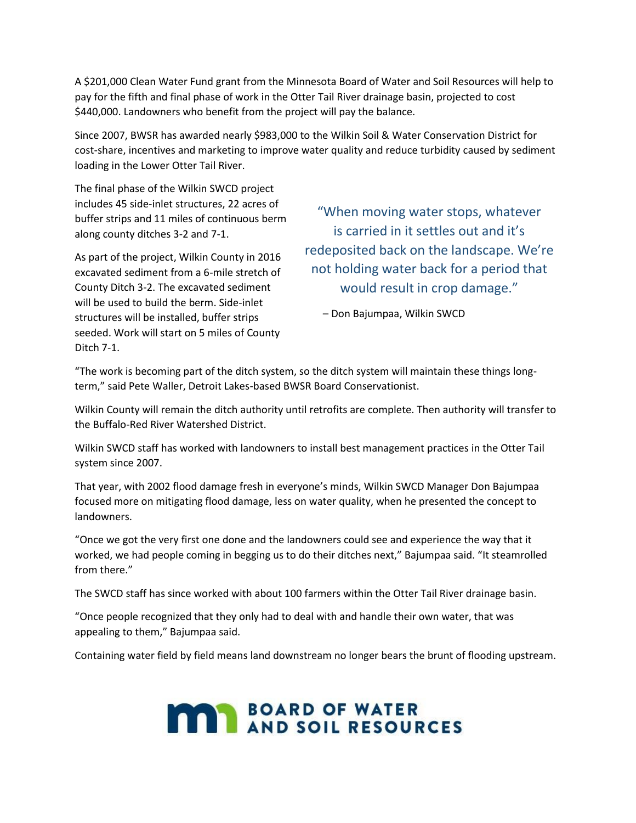A \$201,000 Clean Water Fund grant from the Minnesota Board of Water and Soil Resources will help to pay for the fifth and final phase of work in the Otter Tail River drainage basin, projected to cost \$440,000. Landowners who benefit from the project will pay the balance.

Since 2007, BWSR has awarded nearly \$983,000 to the Wilkin Soil & Water Conservation District for cost-share, incentives and marketing to improve water quality and reduce turbidity caused by sediment loading in the Lower Otter Tail River.

The final phase of the Wilkin SWCD project includes 45 side-inlet structures, 22 acres of buffer strips and 11 miles of continuous berm along county ditches 3-2 and 7-1.

As part of the project, Wilkin County in 2016 excavated sediment from a 6-mile stretch of County Ditch 3-2. The excavated sediment will be used to build the berm. Side-inlet structures will be installed, buffer strips seeded. Work will start on 5 miles of County Ditch 7-1.

"When moving water stops, whatever is carried in it settles out and it's redeposited back on the landscape. We're not holding water back for a period that would result in crop damage."

– Don Bajumpaa, Wilkin SWCD

"The work is becoming part of the ditch system, so the ditch system will maintain these things longterm," said Pete Waller, Detroit Lakes-based BWSR Board Conservationist.

Wilkin County will remain the ditch authority until retrofits are complete. Then authority will transfer to the Buffalo-Red River Watershed District.

Wilkin SWCD staff has worked with landowners to install best management practices in the Otter Tail system since 2007.

That year, with 2002 flood damage fresh in everyone's minds, Wilkin SWCD Manager Don Bajumpaa focused more on mitigating flood damage, less on water quality, when he presented the concept to landowners.

"Once we got the very first one done and the landowners could see and experience the way that it worked, we had people coming in begging us to do their ditches next," Bajumpaa said. "It steamrolled from there."

The SWCD staff has since worked with about 100 farmers within the Otter Tail River drainage basin.

"Once people recognized that they only had to deal with and handle their own water, that was appealing to them," Bajumpaa said.

Containing water field by field means land downstream no longer bears the brunt of flooding upstream.

## **MARY BOARD OF WATER**